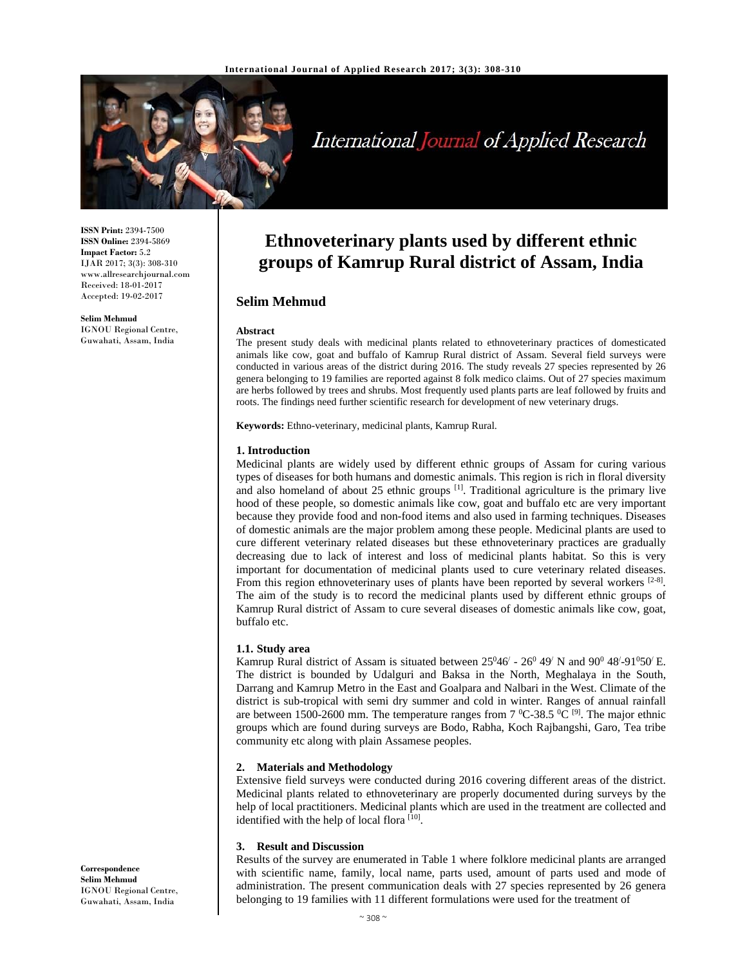

# International Journal of Applied Research

**ISSN Print:** 2394-7500 **ISSN Online:** 2394-5869 **Impact Factor:** 5.2 IJAR 2017; 3(3): 308-310 www.allresearchjournal.com Received: 18-01-2017 Accepted: 19-02-2017

**Selim Mehmud**  IGNOU Regional Centre, Guwahati, Assam, India

## **Ethnoveterinary plants used by different ethnic groups of Kamrup Rural district of Assam, India**

### **Selim Mehmud**

#### **Abstract**

The present study deals with medicinal plants related to ethnoveterinary practices of domesticated animals like cow, goat and buffalo of Kamrup Rural district of Assam. Several field surveys were conducted in various areas of the district during 2016. The study reveals 27 species represented by 26 genera belonging to 19 families are reported against 8 folk medico claims. Out of 27 species maximum are herbs followed by trees and shrubs. Most frequently used plants parts are leaf followed by fruits and roots. The findings need further scientific research for development of new veterinary drugs.

**Keywords:** Ethno-veterinary, medicinal plants, Kamrup Rural.

#### **1. Introduction**

Medicinal plants are widely used by different ethnic groups of Assam for curing various types of diseases for both humans and domestic animals. This region is rich in floral diversity and also homeland of about 25 ethnic groups  $^{[1]}$ . Traditional agriculture is the primary live hood of these people, so domestic animals like cow, goat and buffalo etc are very important because they provide food and non-food items and also used in farming techniques. Diseases of domestic animals are the major problem among these people. Medicinal plants are used to cure different veterinary related diseases but these ethnoveterinary practices are gradually decreasing due to lack of interest and loss of medicinal plants habitat. So this is very important for documentation of medicinal plants used to cure veterinary related diseases. From this region ethnoveterinary uses of plants have been reported by several workers  $[2-8]$ . The aim of the study is to record the medicinal plants used by different ethnic groups of Kamrup Rural district of Assam to cure several diseases of domestic animals like cow, goat, buffalo etc.

#### **1.1. Study area**

Kamrup Rural district of Assam is situated between  $25^{0}46'$  -  $26^{0}49'$  N and  $90^{0}48'$ -91<sup>0</sup>50<sup> $\prime$ </sup> E. The district is bounded by Udalguri and Baksa in the North, Meghalaya in the South, Darrang and Kamrup Metro in the East and Goalpara and Nalbari in the West. Climate of the district is sub-tropical with semi dry summer and cold in winter. Ranges of annual rainfall are between 1500-2600 mm. The temperature ranges from  $7^{\circ}$ C-38.5  $^{\circ}$ C <sup>[9]</sup>. The major ethnic groups which are found during surveys are Bodo, Rabha, Koch Rajbangshi, Garo, Tea tribe community etc along with plain Assamese peoples.

#### **2. Materials and Methodology**

Extensive field surveys were conducted during 2016 covering different areas of the district. Medicinal plants related to ethnoveterinary are properly documented during surveys by the help of local practitioners. Medicinal plants which are used in the treatment are collected and identified with the help of local flora [10].

#### **3. Result and Discussion**

Results of the survey are enumerated in Table 1 where folklore medicinal plants are arranged with scientific name, family, local name, parts used, amount of parts used and mode of administration. The present communication deals with 27 species represented by 26 genera belonging to 19 families with 11 different formulations were used for the treatment of

**Correspondence Selim Mehmud**  IGNOU Regional Centre, Guwahati, Assam, India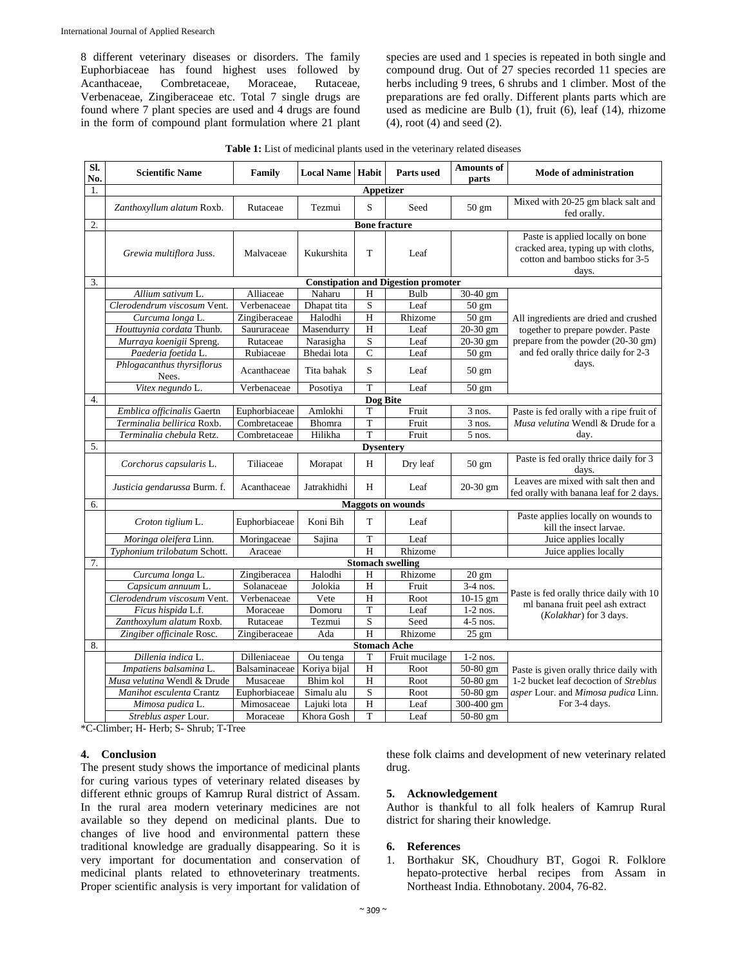8 different veterinary diseases or disorders. The family Euphorbiaceae has found highest uses followed by Acanthaceae, Combretaceae, Moraceae, Rutaceae, Verbenaceae, Zingiberaceae etc. Total 7 single drugs are found where 7 plant species are used and 4 drugs are found in the form of compound plant formulation where 21 plant species are used and 1 species is repeated in both single and compound drug. Out of 27 species recorded 11 species are herbs including 9 trees, 6 shrubs and 1 climber. Most of the preparations are fed orally. Different plants parts which are used as medicine are Bulb (1), fruit (6), leaf (14), rhizome (4), root (4) and seed (2).

|  | <b>Table 1:</b> List of medicinal plants used in the veterinary related diseases |
|--|----------------------------------------------------------------------------------|
|--|----------------------------------------------------------------------------------|

| Sl.<br>No. | <b>Scientific Name</b>                     | Family        | <b>Local Name   Habit</b> |                               | <b>Parts used</b> | <b>Amounts of</b><br>parts | Mode of administration                                                                                                |  |  |  |
|------------|--------------------------------------------|---------------|---------------------------|-------------------------------|-------------------|----------------------------|-----------------------------------------------------------------------------------------------------------------------|--|--|--|
| 1.         | Appetizer                                  |               |                           |                               |                   |                            |                                                                                                                       |  |  |  |
|            | Zanthoxyllum alatum Roxb.                  | Rutaceae      | Tezmui                    | S                             | Seed              | 50 gm                      | Mixed with 20-25 gm black salt and<br>fed orally.                                                                     |  |  |  |
| 2.         | <b>Bone fracture</b>                       |               |                           |                               |                   |                            |                                                                                                                       |  |  |  |
|            | Grewia multiflora Juss.                    | Malvaceae     | Kukurshita                | T                             | Leaf              |                            | Paste is applied locally on bone<br>cracked area, typing up with cloths,<br>cotton and bamboo sticks for 3-5<br>days. |  |  |  |
| 3.         | <b>Constipation and Digestion promoter</b> |               |                           |                               |                   |                            |                                                                                                                       |  |  |  |
|            | Allium sativum L.                          | Alliaceae     | Naharu                    | H                             | Bulb              | 30-40 gm                   |                                                                                                                       |  |  |  |
|            | Clerodendrum viscosum Vent.                | Verbenaceae   | Dhapat tita               | $\mathbf S$                   | Leaf              | $50 \text{ gm}$            |                                                                                                                       |  |  |  |
|            | Curcuma longa L.                           | Zingiberaceae | Halodhi                   | H                             | Rhizome           | 50 gm                      | All ingredients are dried and crushed                                                                                 |  |  |  |
|            | Houttuynia cordata Thunb.                  | Saururaceae   | Masendurry                | $\overline{H}$                | Leaf              | 20-30 gm                   | together to prepare powder. Paste                                                                                     |  |  |  |
|            | Murraya koenigii Spreng.                   | Rutaceae      | Narasigha                 | S                             | Leaf              | 20-30 gm                   | prepare from the powder (20-30 gm)                                                                                    |  |  |  |
|            | Paederia foetida L.                        | Rubiaceae     | Bhedai lota               | $\overline{C}$                | Leaf              | 50 gm                      | and fed orally thrice daily for 2-3                                                                                   |  |  |  |
|            | Phlogacanthus thyrsiflorus<br>Nees.        | Acanthaceae   | Tita bahak                | S                             | Leaf              | $50 \text{ gm}$            | days.                                                                                                                 |  |  |  |
|            | Vitex negundo L.                           | Verbenaceae   | Posotiya                  | T                             | Leaf              | $50 \text{ gm}$            |                                                                                                                       |  |  |  |
| 4.         |                                            |               |                           | Dog Bite                      |                   |                            |                                                                                                                       |  |  |  |
|            | Emblica officinalis Gaertn                 | Euphorbiaceae | Amlokhi                   | T                             | Fruit             | $3$ nos.                   | Paste is fed orally with a ripe fruit of                                                                              |  |  |  |
|            | Terminalia bellirica Roxb.                 | Combretaceae  | Bhomra                    | T                             | Fruit             | $3$ nos.                   | Musa velutina Wendl & Drude for a                                                                                     |  |  |  |
|            | Terminalia chebula Retz.                   | Combretaceae  | Hilikha                   | T                             | Fruit             | 5 nos.                     | day.                                                                                                                  |  |  |  |
| 5.         |                                            |               |                           | <b>Dysentery</b>              |                   |                            |                                                                                                                       |  |  |  |
|            | Corchorus capsularis L.                    | Tiliaceae     | Morapat                   | H                             | Dry leaf          | $50 \text{ gm}$            | Paste is fed orally thrice daily for 3<br>days.                                                                       |  |  |  |
|            | Justicia gendarussa Burm. f.               | Acanthaceae   | Jatrakhidhi               | H                             | Leaf              | 20-30 gm                   | Leaves are mixed with salt then and<br>fed orally with banana leaf for 2 days.                                        |  |  |  |
| 6.         | <b>Maggots on wounds</b>                   |               |                           |                               |                   |                            |                                                                                                                       |  |  |  |
|            | Croton tiglium L.                          | Euphorbiaceae | Koni Bih                  | T                             | Leaf              |                            | Paste applies locally on wounds to<br>kill the insect larvae.                                                         |  |  |  |
|            | Moringa oleifera Linn.                     | Moringaceae   | Sajina                    | T                             | Leaf              |                            | Juice applies locally                                                                                                 |  |  |  |
|            | Typhonium trilobatum Schott.               | Araceae       |                           | H                             | Rhizome           |                            | Juice applies locally                                                                                                 |  |  |  |
| 7.         | <b>Stomach swelling</b>                    |               |                           |                               |                   |                            |                                                                                                                       |  |  |  |
|            | Curcuma longa L.                           | Zingiberacea  | Halodhi                   | H                             | Rhizome           | $20 \text{ gm}$            |                                                                                                                       |  |  |  |
|            | Capsicum annuum L.                         | Solanaceae    | Jolokia                   | H                             | Fruit             | $3-4$ nos.                 | Paste is fed orally thrice daily with 10                                                                              |  |  |  |
|            | Clerodendrum viscosum Vent.                | Verbenaceae   | Vete                      | H                             | Root              | 10-15 gm                   | ml banana fruit peel ash extract                                                                                      |  |  |  |
|            | Ficus hispida L.f.                         | Moraceae      | Domoru                    | T                             | Leaf              | $1-2$ nos.                 | (Kolakhar) for 3 days.                                                                                                |  |  |  |
|            | Zanthoxylum alatum Roxb.                   | Rutaceae      | Tezmui                    | $\overline{\mathbf{S}}$       | Seed              | $4-5$ nos.                 |                                                                                                                       |  |  |  |
|            | Zingiber officinale Rosc.                  | Zingiberaceae | Ada                       | $\overline{H}$                | Rhizome           | $\overline{25}$ gm         |                                                                                                                       |  |  |  |
| 8.         |                                            |               |                           | <b>Stomach Ache</b>           |                   |                            |                                                                                                                       |  |  |  |
|            | Dillenia indica L.                         | Dilleniaceae  | Ou tenga                  | T                             | Fruit mucilage    | $1-2$ nos.                 |                                                                                                                       |  |  |  |
|            | Impatiens balsamina L.                     | Balsaminaceae | Koriya bijal              | $\overline{H}$                | Root              | 50-80 gm                   | Paste is given orally thrice daily with                                                                               |  |  |  |
|            | Musa velutina Wendl & Drude                | Musaceae      | Bhim kol                  | $\overline{H}$                | Root              | $50-80$ gm                 | 1-2 bucket leaf decoction of Streblus                                                                                 |  |  |  |
|            | Manihot esculenta Crantz                   | Euphorbiaceae | Simalu alu                | $\mathbf S$<br>$\overline{H}$ | Root              | 50-80 gm                   | asper Lour. and Mimosa pudica Linn.                                                                                   |  |  |  |
|            | Mimosa pudica L.                           | Mimosaceae    | Lajuki lota               | T                             | Leaf<br>Leaf      | 300-400 gm<br>50-80 gm     | For 3-4 days.                                                                                                         |  |  |  |
|            | Streblus asper Lour.                       | Moraceae      | Khora Gosh                |                               |                   |                            |                                                                                                                       |  |  |  |

\*C-Climber; H- Herb; S- Shrub; T-Tree

#### **4. Conclusion**

The present study shows the importance of medicinal plants for curing various types of veterinary related diseases by different ethnic groups of Kamrup Rural district of Assam. In the rural area modern veterinary medicines are not available so they depend on medicinal plants. Due to changes of live hood and environmental pattern these traditional knowledge are gradually disappearing. So it is very important for documentation and conservation of medicinal plants related to ethnoveterinary treatments. Proper scientific analysis is very important for validation of these folk claims and development of new veterinary related drug.

#### **5. Acknowledgement**

Author is thankful to all folk healers of Kamrup Rural district for sharing their knowledge.

#### **6. References**

1. Borthakur SK, Choudhury BT, Gogoi R. Folklore hepato-protective herbal recipes from Assam in Northeast India. Ethnobotany. 2004, 76-82.